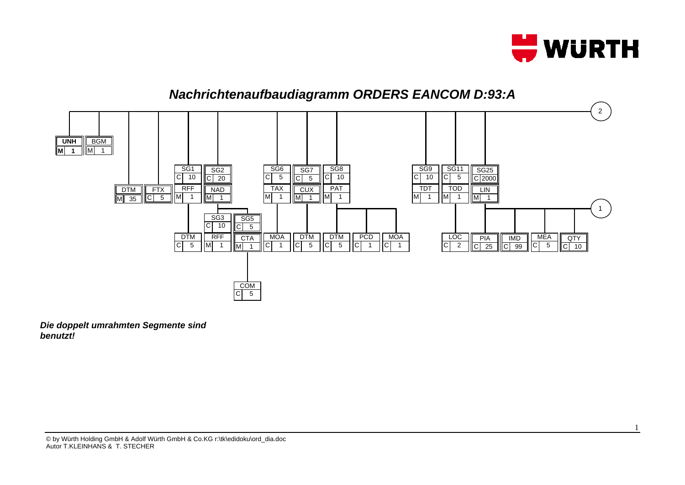

1



*Die doppelt umrahmten Segmente sind benutzt!*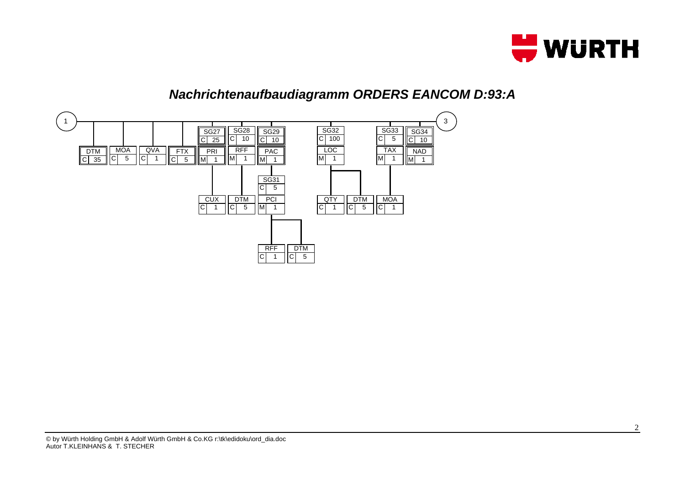

## *Nachrichtenaufbaudiagramm ORDERS EANCOM D:93:A*

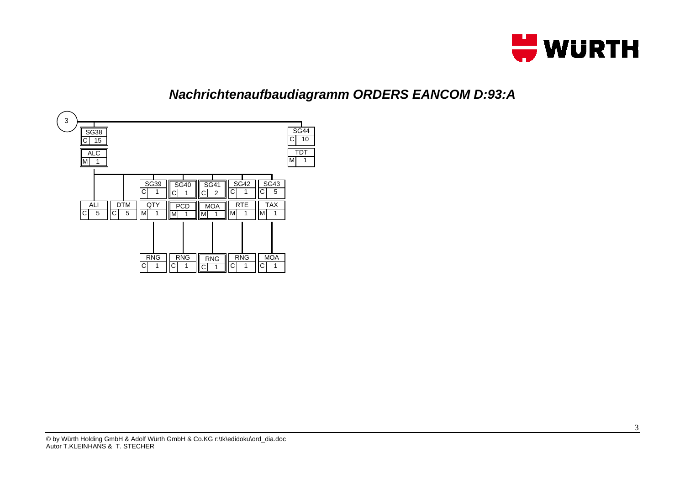

## *Nachrichtenaufbaudiagramm ORDERS EANCOM D:93:A*